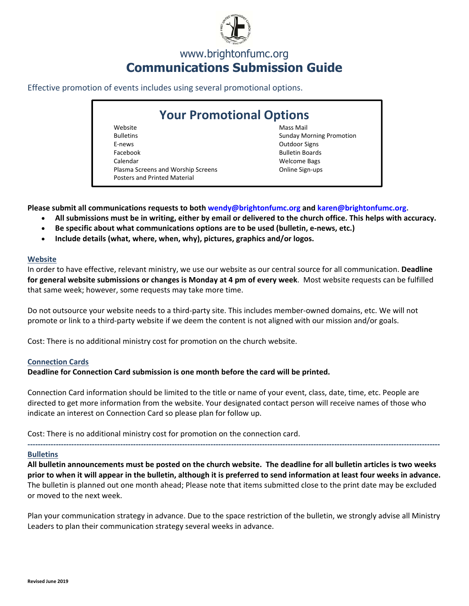

## www.brightonfumc.org **Communications Submission Guide**

Effective promotion of events includes using several promotional options.

# **Your Promotional Options**

Website Bulletins E‐news Facebook Calendar Plasma Screens and Worship Screens Posters and Printed Material

Mass Mail Sunday Morning Promotion Outdoor Signs Bulletin Boards Welcome Bags Online Sign‐ups

**Please submit all communications requests to both wendy@brightonfumc.org and karen@brightonfumc.org.** 

- **All submissions must be in writing, either by email or delivered to the church office. This helps with accuracy.**
- Be specific about what communications options are to be used (bulletin, e-news, etc.)
- **Include details (what, where, when, why), pictures, graphics and/or logos.**

## **Website**

In order to have effective, relevant ministry, we use our website as our central source for all communication. **Deadline for general website submissions or changes is Monday at 4 pm of every week**. Most website requests can be fulfilled that same week; however, some requests may take more time.

Do not outsource your website needs to a third-party site. This includes member-owned domains, etc. We will not promote or link to a third‐party website if we deem the content is not aligned with our mission and/or goals.

Cost: There is no additional ministry cost for promotion on the church website.

## **Connection Cards**

**Deadline for Connection Card submission is one month before the card will be printed.** 

Connection Card information should be limited to the title or name of your event, class, date, time, etc. People are directed to get more information from the website. Your designated contact person will receive names of those who indicate an interest on Connection Card so please plan for follow up.

Cost: There is no additional ministry cost for promotion on the connection card.

#### **Bulletins**

**All bulletin announcements must be posted on the church website. The deadline for all bulletin articles is two weeks prior to when it will appear in the bulletin, although it is preferred to send information at least four weeks in advance.** The bulletin is planned out one month ahead; Please note that items submitted close to the print date may be excluded or moved to the next week.

**‐‐‐‐‐‐‐‐‐‐‐‐‐‐‐‐‐‐‐‐‐‐‐‐‐‐‐‐‐‐‐‐‐‐‐‐‐‐‐‐‐‐‐‐‐‐‐‐‐‐‐‐‐‐‐‐‐‐‐‐‐‐‐‐‐‐‐‐‐‐‐‐‐‐‐‐‐‐‐‐‐‐‐‐‐‐‐‐‐‐‐‐‐‐‐‐‐‐‐‐‐‐‐‐‐‐‐‐‐‐‐‐‐‐‐‐‐‐‐‐‐‐‐‐‐‐‐‐‐‐‐‐‐‐‐‐‐‐‐‐‐‐‐‐‐‐‐‐‐‐‐‐‐‐‐‐‐‐‐‐** 

Plan your communication strategy in advance. Due to the space restriction of the bulletin, we strongly advise all Ministry Leaders to plan their communication strategy several weeks in advance.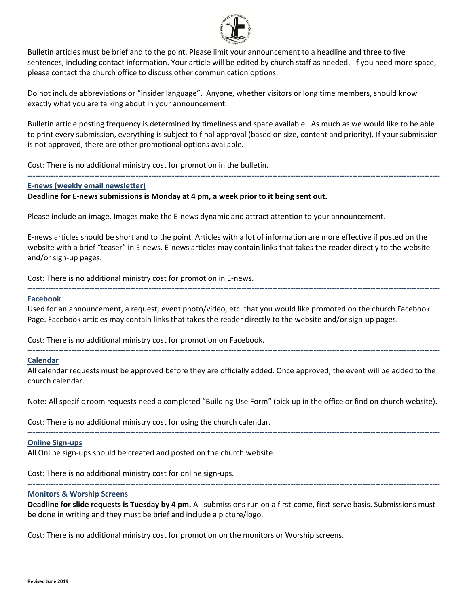

Bulletin articles must be brief and to the point. Please limit your announcement to a headline and three to five sentences, including contact information. Your article will be edited by church staff as needed. If you need more space, please contact the church office to discuss other communication options.

Do not include abbreviations or "insider language". Anyone, whether visitors or long time members, should know exactly what you are talking about in your announcement.

Bulletin article posting frequency is determined by timeliness and space available. As much as we would like to be able to print every submission, everything is subject to final approval (based on size, content and priority). If your submission is not approved, there are other promotional options available.

**‐‐‐‐‐‐‐‐‐‐‐‐‐‐‐‐‐‐‐‐‐‐‐‐‐‐‐‐‐‐‐‐‐‐‐‐‐‐‐‐‐‐‐‐‐‐‐‐‐‐‐‐‐‐‐‐‐‐‐‐‐‐‐‐‐‐‐‐‐‐‐‐‐‐‐‐‐‐‐‐‐‐‐‐‐‐‐‐‐‐‐‐‐‐‐‐‐‐‐‐‐‐‐‐‐‐‐‐‐‐‐‐‐‐‐‐‐‐‐‐‐‐‐‐‐‐‐‐‐‐‐‐‐‐‐‐‐‐‐‐‐‐‐‐‐‐‐‐‐‐‐‐‐‐‐‐‐‐‐‐** 

Cost: There is no additional ministry cost for promotion in the bulletin.

#### **E‐news (weekly email newsletter)**

### **Deadline for E‐news submissions is Monday at 4 pm, a week prior to it being sent out.**

Please include an image. Images make the E‐news dynamic and attract attention to your announcement.

E‐news articles should be short and to the point. Articles with a lot of information are more effective if posted on the website with a brief "teaser" in E‐news. E‐news articles may contain links that takes the reader directly to the website and/or sign‐up pages.

Cost: There is no additional ministry cost for promotion in E‐news.

#### **Facebook**

Used for an announcement, a request, event photo/video, etc. that you would like promoted on the church Facebook Page. Facebook articles may contain links that takes the reader directly to the website and/or sign‐up pages.

**‐‐‐‐‐‐‐‐‐‐‐‐‐‐‐‐‐‐‐‐‐‐‐‐‐‐‐‐‐‐‐‐‐‐‐‐‐‐‐‐‐‐‐‐‐‐‐‐‐‐‐‐‐‐‐‐‐‐‐‐‐‐‐‐‐‐‐‐‐‐‐‐‐‐‐‐‐‐‐‐‐‐‐‐‐‐‐‐‐‐‐‐‐‐‐‐‐‐‐‐‐‐‐‐‐‐‐‐‐‐‐‐‐‐‐‐‐‐‐‐‐‐‐‐‐‐‐‐‐‐‐‐‐‐‐‐‐‐‐‐‐‐‐‐‐‐‐‐‐‐‐‐‐‐‐‐‐‐‐‐** 

Cost: There is no additional ministry cost for promotion on Facebook.

#### **Calendar**

All calendar requests must be approved before they are officially added. Once approved, the event will be added to the church calendar.

**‐‐‐‐‐‐‐‐‐‐‐‐‐‐‐‐‐‐‐‐‐‐‐‐‐‐‐‐‐‐‐‐‐‐‐‐‐‐‐‐‐‐‐‐‐‐‐‐‐‐‐‐‐‐‐‐‐‐‐‐‐‐‐‐‐‐‐‐‐‐‐‐‐‐‐‐‐‐‐‐‐‐‐‐‐‐‐‐‐‐‐‐‐‐‐‐‐‐‐‐‐‐‐‐‐‐‐‐‐‐‐‐‐‐‐‐‐‐‐‐‐‐‐‐‐‐‐‐‐‐‐‐‐‐‐‐‐‐‐‐‐‐‐‐‐‐‐‐‐‐‐‐‐‐‐‐‐‐‐‐** 

Note: All specific room requests need a completed "Building Use Form" (pick up in the office or find on church website).

**‐‐‐‐‐‐‐‐‐‐‐‐‐‐‐‐‐‐‐‐‐‐‐‐‐‐‐‐‐‐‐‐‐‐‐‐‐‐‐‐‐‐‐‐‐‐‐‐‐‐‐‐‐‐‐‐‐‐‐‐‐‐‐‐‐‐‐‐‐‐‐‐‐‐‐‐‐‐‐‐‐‐‐‐‐‐‐‐‐‐‐‐‐‐‐‐‐‐‐‐‐‐‐‐‐‐‐‐‐‐‐‐‐‐‐‐‐‐‐‐‐‐‐‐‐‐‐‐‐‐‐‐‐‐‐‐‐‐‐‐‐‐‐‐‐‐‐‐‐‐‐‐‐‐‐‐‐‐‐‐** 

Cost: There is no additional ministry cost for using the church calendar.

#### **Online Sign‐ups**

All Online sign‐ups should be created and posted on the church website.

Cost: There is no additional ministry cost for online sign‐ups.

#### **Monitors & Worship Screens**

**Deadline for slide requests is Tuesday by 4 pm.** All submissions run on a first‐come, first‐serve basis. Submissions must be done in writing and they must be brief and include a picture/logo.

**‐‐‐‐‐‐‐‐‐‐‐‐‐‐‐‐‐‐‐‐‐‐‐‐‐‐‐‐‐‐‐‐‐‐‐‐‐‐‐‐‐‐‐‐‐‐‐‐‐‐‐‐‐‐‐‐‐‐‐‐‐‐‐‐‐‐‐‐‐‐‐‐‐‐‐‐‐‐‐‐‐‐‐‐‐‐‐‐‐‐‐‐‐‐‐‐‐‐‐‐‐‐‐‐‐‐‐‐‐‐‐‐‐‐‐‐‐‐‐‐‐‐‐‐‐‐‐‐‐‐‐‐‐‐‐‐‐‐‐‐‐‐‐‐‐‐‐‐‐‐‐‐‐‐‐‐‐‐‐‐** 

Cost: There is no additional ministry cost for promotion on the monitors or Worship screens.